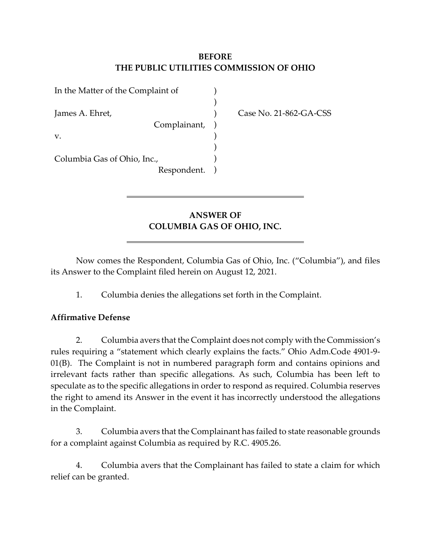## **BEFORE THE PUBLIC UTILITIES COMMISSION OF OHIO**

| In the Matter of the Complaint of |           |
|-----------------------------------|-----------|
| James A. Ehret,                   |           |
| Complainant,                      | $\lambda$ |
| V.                                |           |
|                                   |           |
| Columbia Gas of Ohio, Inc.,       |           |
| Respondent.                       |           |

Case No. 21-862-GA-CSS

# **ANSWER OF COLUMBIA GAS OF OHIO, INC.**

Now comes the Respondent, Columbia Gas of Ohio, Inc. ("Columbia"), and files its Answer to the Complaint filed herein on August 12, 2021.

1. Columbia denies the allegations set forth in the Complaint.

### **Affirmative Defense**

2. Columbia avers that the Complaint does not comply with the Commission's rules requiring a "statement which clearly explains the facts." Ohio Adm.Code 4901-9- 01(B). The Complaint is not in numbered paragraph form and contains opinions and irrelevant facts rather than specific allegations. As such, Columbia has been left to speculate as to the specific allegations in order to respond as required. Columbia reserves the right to amend its Answer in the event it has incorrectly understood the allegations in the Complaint.

3. Columbia avers that the Complainant has failed to state reasonable grounds for a complaint against Columbia as required by R.C. 4905.26.

4. Columbia avers that the Complainant has failed to state a claim for which relief can be granted.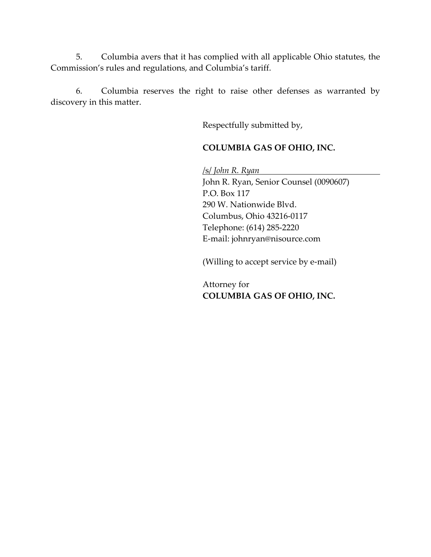5. Columbia avers that it has complied with all applicable Ohio statutes, the Commission's rules and regulations, and Columbia's tariff.

6. Columbia reserves the right to raise other defenses as warranted by discovery in this matter.

Respectfully submitted by,

### **COLUMBIA GAS OF OHIO, INC.**

/s/ *John R. Ryan* 

John R. Ryan, Senior Counsel (0090607) P.O. Box 117 290 W. Nationwide Blvd. Columbus, Ohio 43216-0117 Telephone: (614) 285-2220 E-mail: johnryan@nisource.com

(Willing to accept service by e-mail)

Attorney for **COLUMBIA GAS OF OHIO, INC.**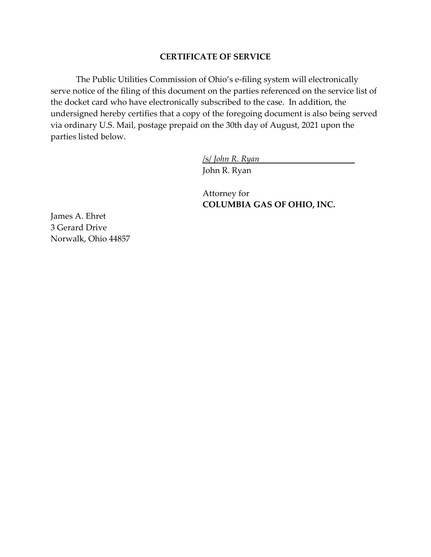#### **CERTIFICATE OF SERVICE**

The Public Utilities Commission of Ohio's e-filing system will electronically serve notice of the filing of this document on the parties referenced on the service list of the docket card who have electronically subscribed to the case. In addition, the undersigned hereby certifies that a copy of the foregoing document is also being served via ordinary U.S. Mail, postage prepaid on the 30th day of August, 2021 upon the parties listed below.

/s/ *John R. Ryan*

John R. Ryan

Attorney for **COLUMBIA GAS OF OHIO, INC.** 

James A. Ehret 3 Gerard Drive Norwalk, Ohio 44857